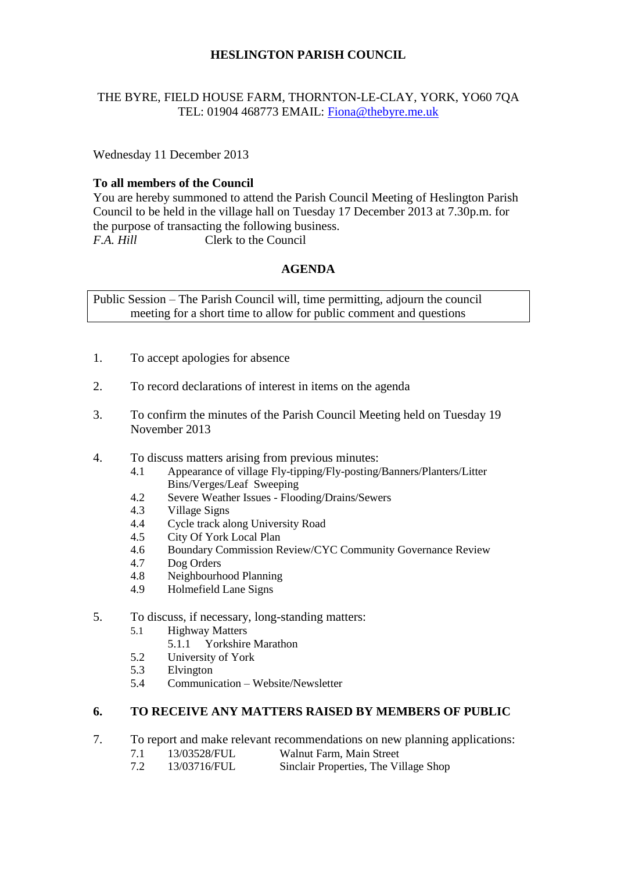# **HESLINGTON PARISH COUNCIL**

## THE BYRE, FIELD HOUSE FARM, THORNTON-LE-CLAY, YORK, YO60 7QA TEL: 01904 468773 EMAIL: [Fiona@thebyre.me.uk](mailto:Fiona@thebyre.me.uk)

Wednesday 11 December 2013

## **To all members of the Council**

You are hereby summoned to attend the Parish Council Meeting of Heslington Parish Council to be held in the village hall on Tuesday 17 December 2013 at 7.30p.m. for the purpose of transacting the following business. *F.A. Hill* Clerk to the Council

## **AGENDA**

Public Session – The Parish Council will, time permitting, adjourn the council meeting for a short time to allow for public comment and questions

- 1. To accept apologies for absence
- 2. To record declarations of interest in items on the agenda
- 3. To confirm the minutes of the Parish Council Meeting held on Tuesday 19 November 2013
- 4. To discuss matters arising from previous minutes:
	- 4.1 Appearance of village Fly-tipping/Fly-posting/Banners/Planters/Litter Bins/Verges/Leaf Sweeping
	- 4.2 Severe Weather Issues Flooding/Drains/Sewers
	- 4.3 Village Signs
	- 4.4 Cycle track along University Road
	- 4.5 City Of York Local Plan
	- 4.6 Boundary Commission Review/CYC Community Governance Review
	- 4.7 Dog Orders
	- 4.8 Neighbourhood Planning
	- 4.9 Holmefield Lane Signs
- 5. To discuss, if necessary, long-standing matters:
	- 5.1 Highway Matters
		- 5.1.1 Yorkshire Marathon
	- 5.2 University of York
	- 5.3 Elvington
	- 5.4 Communication Website/Newsletter

### **6. TO RECEIVE ANY MATTERS RAISED BY MEMBERS OF PUBLIC**

- 7. To report and make relevant recommendations on new planning applications:
	- 7.1 13/03528/FUL Walnut Farm, Main Street<br>7.2 13/03716/FUL Sinclair Properties. The Vi
	- 13/03716/FUL Sinclair Properties, The Village Shop